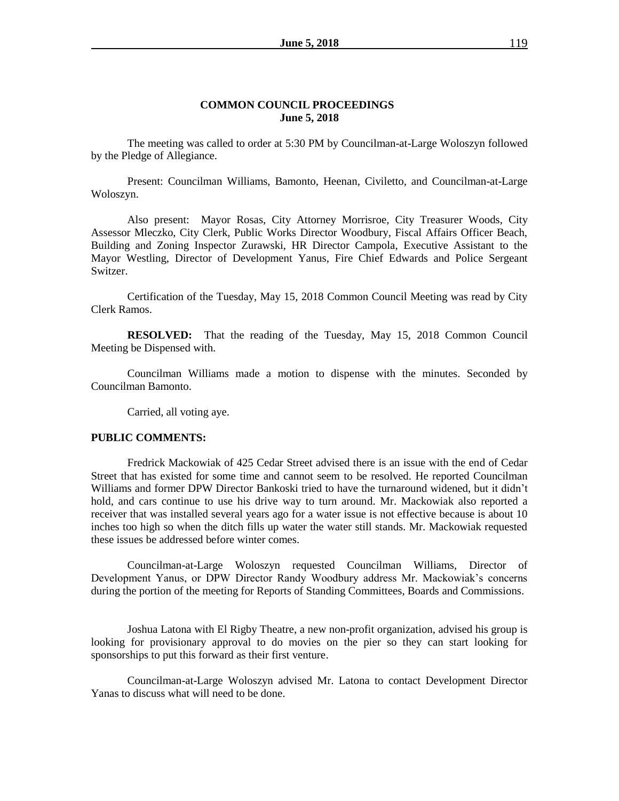#### **COMMON COUNCIL PROCEEDINGS June 5, 2018**

The meeting was called to order at 5:30 PM by Councilman-at-Large Woloszyn followed by the Pledge of Allegiance.

Present: Councilman Williams, Bamonto, Heenan, Civiletto, and Councilman-at-Large Woloszyn.

Also present: Mayor Rosas, City Attorney Morrisroe, City Treasurer Woods, City Assessor Mleczko, City Clerk, Public Works Director Woodbury, Fiscal Affairs Officer Beach, Building and Zoning Inspector Zurawski, HR Director Campola, Executive Assistant to the Mayor Westling, Director of Development Yanus, Fire Chief Edwards and Police Sergeant Switzer.

Certification of the Tuesday, May 15, 2018 Common Council Meeting was read by City Clerk Ramos.

**RESOLVED:** That the reading of the Tuesday, May 15, 2018 Common Council Meeting be Dispensed with.

Councilman Williams made a motion to dispense with the minutes. Seconded by Councilman Bamonto.

Carried, all voting aye.

#### **PUBLIC COMMENTS:**

Fredrick Mackowiak of 425 Cedar Street advised there is an issue with the end of Cedar Street that has existed for some time and cannot seem to be resolved. He reported Councilman Williams and former DPW Director Bankoski tried to have the turnaround widened, but it didn't hold, and cars continue to use his drive way to turn around. Mr. Mackowiak also reported a receiver that was installed several years ago for a water issue is not effective because is about 10 inches too high so when the ditch fills up water the water still stands. Mr. Mackowiak requested these issues be addressed before winter comes.

Councilman-at-Large Woloszyn requested Councilman Williams, Director of Development Yanus, or DPW Director Randy Woodbury address Mr. Mackowiak's concerns during the portion of the meeting for Reports of Standing Committees, Boards and Commissions.

Joshua Latona with El Rigby Theatre, a new non-profit organization, advised his group is looking for provisionary approval to do movies on the pier so they can start looking for sponsorships to put this forward as their first venture.

Councilman-at-Large Woloszyn advised Mr. Latona to contact Development Director Yanas to discuss what will need to be done.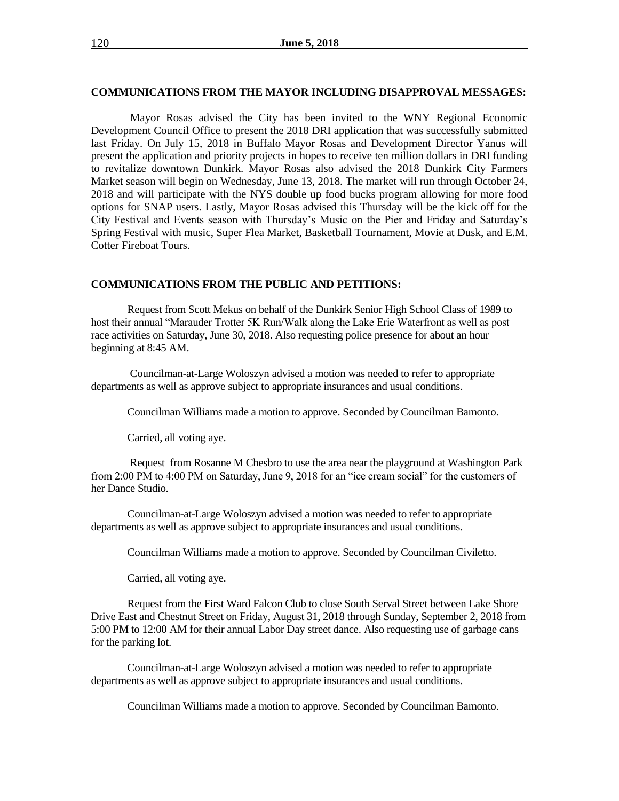#### **COMMUNICATIONS FROM THE MAYOR INCLUDING DISAPPROVAL MESSAGES:**

Mayor Rosas advised the City has been invited to the WNY Regional Economic Development Council Office to present the 2018 DRI application that was successfully submitted last Friday. On July 15, 2018 in Buffalo Mayor Rosas and Development Director Yanus will present the application and priority projects in hopes to receive ten million dollars in DRI funding to revitalize downtown Dunkirk. Mayor Rosas also advised the 2018 Dunkirk City Farmers Market season will begin on Wednesday, June 13, 2018. The market will run through October 24, 2018 and will participate with the NYS double up food bucks program allowing for more food options for SNAP users. Lastly, Mayor Rosas advised this Thursday will be the kick off for the City Festival and Events season with Thursday's Music on the Pier and Friday and Saturday's Spring Festival with music, Super Flea Market, Basketball Tournament, Movie at Dusk, and E.M. Cotter Fireboat Tours.

#### **COMMUNICATIONS FROM THE PUBLIC AND PETITIONS:**

Request from Scott Mekus on behalf of the Dunkirk Senior High School Class of 1989 to host their annual "Marauder Trotter 5K Run/Walk along the Lake Erie Waterfront as well as post race activities on Saturday, June 30, 2018. Also requesting police presence for about an hour beginning at 8:45 AM.

Councilman-at-Large Woloszyn advised a motion was needed to refer to appropriate departments as well as approve subject to appropriate insurances and usual conditions.

Councilman Williams made a motion to approve. Seconded by Councilman Bamonto.

Carried, all voting aye.

Request from Rosanne M Chesbro to use the area near the playground at Washington Park from 2:00 PM to 4:00 PM on Saturday, June 9, 2018 for an "ice cream social" for the customers of her Dance Studio.

Councilman-at-Large Woloszyn advised a motion was needed to refer to appropriate departments as well as approve subject to appropriate insurances and usual conditions.

Councilman Williams made a motion to approve. Seconded by Councilman Civiletto.

Carried, all voting aye.

Request from the First Ward Falcon Club to close South Serval Street between Lake Shore Drive East and Chestnut Street on Friday, August 31, 2018 through Sunday, September 2, 2018 from 5:00 PM to 12:00 AM for their annual Labor Day street dance. Also requesting use of garbage cans for the parking lot.

Councilman-at-Large Woloszyn advised a motion was needed to refer to appropriate departments as well as approve subject to appropriate insurances and usual conditions.

Councilman Williams made a motion to approve. Seconded by Councilman Bamonto.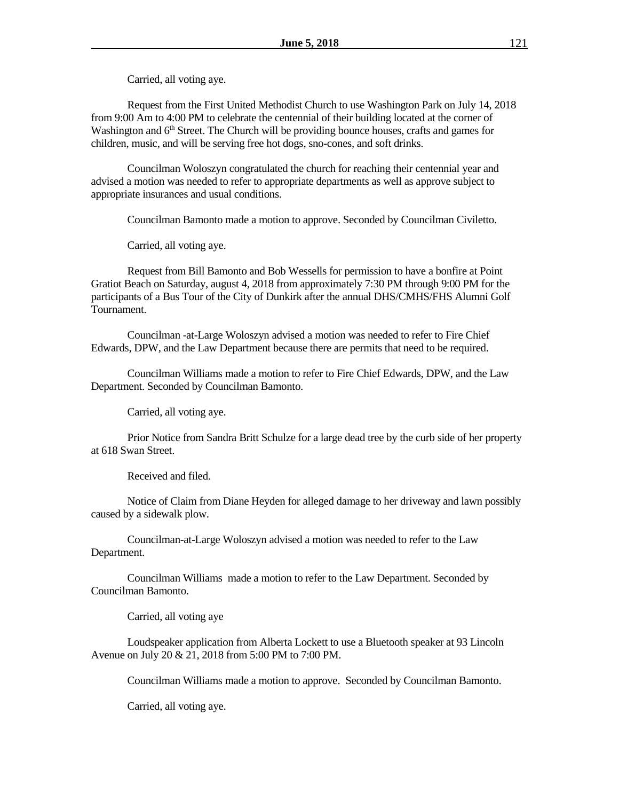Carried, all voting aye.

Request from the First United Methodist Church to use Washington Park on July 14, 2018 from 9:00 Am to 4:00 PM to celebrate the centennial of their building located at the corner of Washington and  $6<sup>th</sup>$  Street. The Church will be providing bounce houses, crafts and games for children, music, and will be serving free hot dogs, sno-cones, and soft drinks.

Councilman Woloszyn congratulated the church for reaching their centennial year and advised a motion was needed to refer to appropriate departments as well as approve subject to appropriate insurances and usual conditions.

Councilman Bamonto made a motion to approve. Seconded by Councilman Civiletto.

Carried, all voting aye.

Request from Bill Bamonto and Bob Wessells for permission to have a bonfire at Point Gratiot Beach on Saturday, august 4, 2018 from approximately 7:30 PM through 9:00 PM for the participants of a Bus Tour of the City of Dunkirk after the annual DHS/CMHS/FHS Alumni Golf Tournament.

Councilman -at-Large Woloszyn advised a motion was needed to refer to Fire Chief Edwards, DPW, and the Law Department because there are permits that need to be required.

Councilman Williams made a motion to refer to Fire Chief Edwards, DPW, and the Law Department. Seconded by Councilman Bamonto.

Carried, all voting aye.

Prior Notice from Sandra Britt Schulze for a large dead tree by the curb side of her property at 618 Swan Street.

Received and filed.

Notice of Claim from Diane Heyden for alleged damage to her driveway and lawn possibly caused by a sidewalk plow.

Councilman-at-Large Woloszyn advised a motion was needed to refer to the Law Department.

Councilman Williams made a motion to refer to the Law Department. Seconded by Councilman Bamonto.

Carried, all voting aye

Loudspeaker application from Alberta Lockett to use a Bluetooth speaker at 93 Lincoln Avenue on July 20 & 21, 2018 from 5:00 PM to 7:00 PM.

Councilman Williams made a motion to approve. Seconded by Councilman Bamonto.

Carried, all voting aye.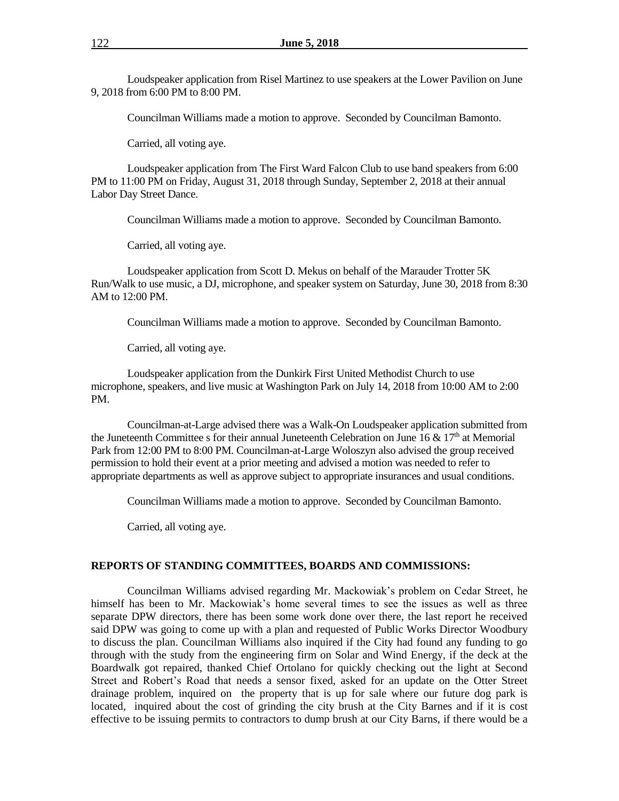Loudspeaker application from Risel Martinez to use speakers at the Lower Pavilion on June 9, 2018 from 6:00 PM to 8:00 PM.

Councilman Williams made a motion to approve. Seconded by Councilman Bamonto.

Carried, all voting aye.

Loudspeaker application from The First Ward Falcon Club to use band speakers from 6:00 PM to 11:00 PM on Friday, August 31, 2018 through Sunday, September 2, 2018 at their annual Labor Day Street Dance.

Councilman Williams made a motion to approve. Seconded by Councilman Bamonto.

Carried, all voting aye.

Loudspeaker application from Scott D. Mekus on behalf of the Marauder Trotter 5K Run/Walk to use music, a DJ, microphone, and speaker system on Saturday, June 30, 2018 from 8:30 AM to 12:00 PM.

Councilman Williams made a motion to approve. Seconded by Councilman Bamonto.

Carried, all voting aye.

Loudspeaker application from the Dunkirk First United Methodist Church to use microphone, speakers, and live music at Washington Park on July 14, 2018 from 10:00 AM to 2:00 PM.

Councilman-at-Large advised there was a Walk-On Loudspeaker application submitted from the Juneteenth Committee s for their annual Juneteenth Celebration on June 16 &  $17<sup>th</sup>$  at Memorial Park from 12:00 PM to 8:00 PM. Councilman-at-Large Woloszyn also advised the group received permission to hold their event at a prior meeting and advised a motion was needed to refer to appropriate departments as well as approve subject to appropriate insurances and usual conditions.

Councilman Williams made a motion to approve. Seconded by Councilman Bamonto.

Carried, all voting aye.

#### **REPORTS OF STANDING COMMITTEES, BOARDS AND COMMISSIONS:**

Councilman Williams advised regarding Mr. Mackowiak's problem on Cedar Street, he himself has been to Mr. Mackowiak's home several times to see the issues as well as three separate DPW directors, there has been some work done over there, the last report he received said DPW was going to come up with a plan and requested of Public Works Director Woodbury to discuss the plan. Councilman Williams also inquired if the City had found any funding to go through with the study from the engineering firm on Solar and Wind Energy, if the deck at the Boardwalk got repaired, thanked Chief Ortolano for quickly checking out the light at Second Street and Robert's Road that needs a sensor fixed, asked for an update on the Otter Street drainage problem, inquired on the property that is up for sale where our future dog park is located, inquired about the cost of grinding the city brush at the City Barnes and if it is cost effective to be issuing permits to contractors to dump brush at our City Barns, if there would be a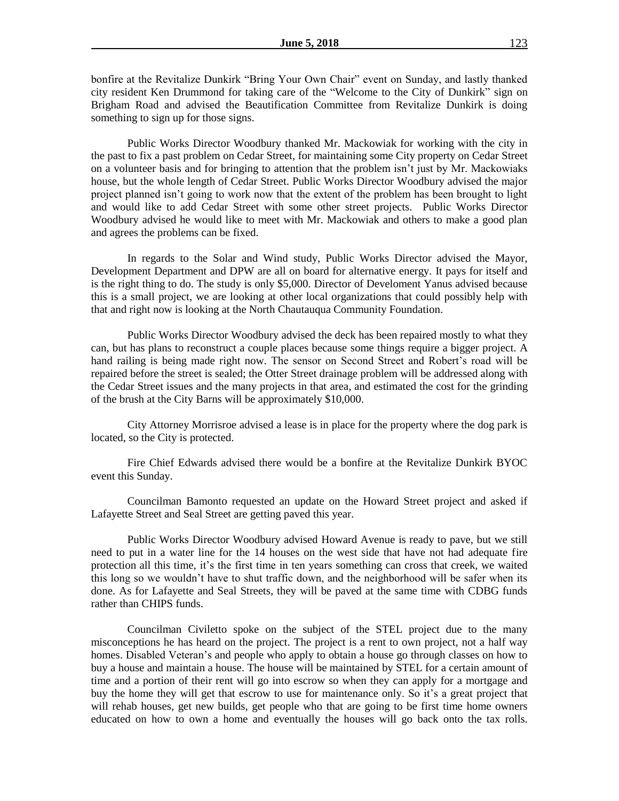bonfire at the Revitalize Dunkirk "Bring Your Own Chair" event on Sunday, and lastly thanked city resident Ken Drummond for taking care of the "Welcome to the City of Dunkirk" sign on Brigham Road and advised the Beautification Committee from Revitalize Dunkirk is doing something to sign up for those signs.

Public Works Director Woodbury thanked Mr. Mackowiak for working with the city in the past to fix a past problem on Cedar Street, for maintaining some City property on Cedar Street on a volunteer basis and for bringing to attention that the problem isn't just by Mr. Mackowiaks house, but the whole length of Cedar Street. Public Works Director Woodbury advised the major project planned isn't going to work now that the extent of the problem has been brought to light and would like to add Cedar Street with some other street projects. Public Works Director Woodbury advised he would like to meet with Mr. Mackowiak and others to make a good plan and agrees the problems can be fixed.

In regards to the Solar and Wind study, Public Works Director advised the Mayor, Development Department and DPW are all on board for alternative energy. It pays for itself and is the right thing to do. The study is only \$5,000. Director of Develoment Yanus advised because this is a small project, we are looking at other local organizations that could possibly help with that and right now is looking at the North Chautauqua Community Foundation.

Public Works Director Woodbury advised the deck has been repaired mostly to what they can, but has plans to reconstruct a couple places because some things require a bigger project. A hand railing is being made right now. The sensor on Second Street and Robert's road will be repaired before the street is sealed; the Otter Street drainage problem will be addressed along with the Cedar Street issues and the many projects in that area, and estimated the cost for the grinding of the brush at the City Barns will be approximately \$10,000.

City Attorney Morrisroe advised a lease is in place for the property where the dog park is located, so the City is protected.

Fire Chief Edwards advised there would be a bonfire at the Revitalize Dunkirk BYOC event this Sunday.

Councilman Bamonto requested an update on the Howard Street project and asked if Lafayette Street and Seal Street are getting paved this year.

Public Works Director Woodbury advised Howard Avenue is ready to pave, but we still need to put in a water line for the 14 houses on the west side that have not had adequate fire protection all this time, it's the first time in ten years something can cross that creek, we waited this long so we wouldn't have to shut traffic down, and the neighborhood will be safer when its done. As for Lafayette and Seal Streets, they will be paved at the same time with CDBG funds rather than CHIPS funds.

Councilman Civiletto spoke on the subject of the STEL project due to the many misconceptions he has heard on the project. The project is a rent to own project, not a half way homes. Disabled Veteran's and people who apply to obtain a house go through classes on how to buy a house and maintain a house. The house will be maintained by STEL for a certain amount of time and a portion of their rent will go into escrow so when they can apply for a mortgage and buy the home they will get that escrow to use for maintenance only. So it's a great project that will rehab houses, get new builds, get people who that are going to be first time home owners educated on how to own a home and eventually the houses will go back onto the tax rolls.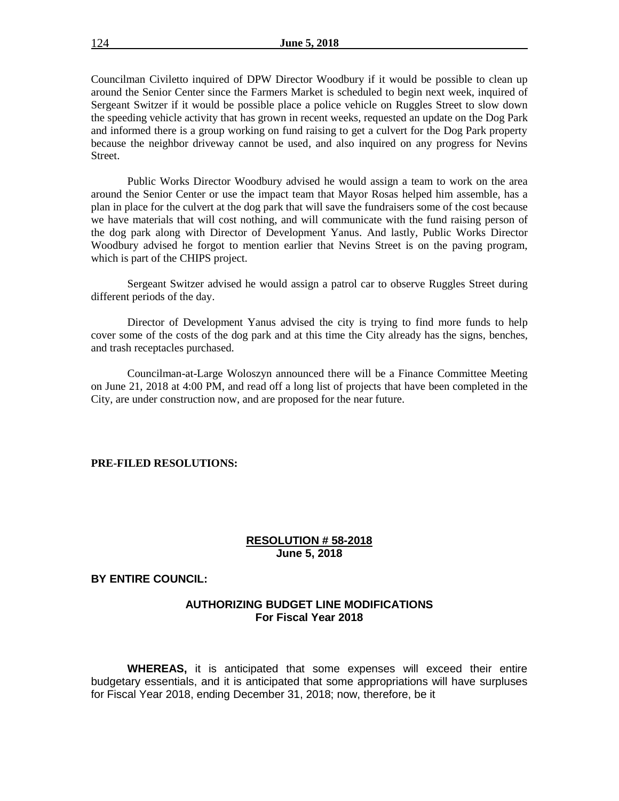Councilman Civiletto inquired of DPW Director Woodbury if it would be possible to clean up around the Senior Center since the Farmers Market is scheduled to begin next week, inquired of Sergeant Switzer if it would be possible place a police vehicle on Ruggles Street to slow down the speeding vehicle activity that has grown in recent weeks, requested an update on the Dog Park and informed there is a group working on fund raising to get a culvert for the Dog Park property because the neighbor driveway cannot be used, and also inquired on any progress for Nevins Street.

Public Works Director Woodbury advised he would assign a team to work on the area around the Senior Center or use the impact team that Mayor Rosas helped him assemble, has a plan in place for the culvert at the dog park that will save the fundraisers some of the cost because we have materials that will cost nothing, and will communicate with the fund raising person of the dog park along with Director of Development Yanus. And lastly, Public Works Director Woodbury advised he forgot to mention earlier that Nevins Street is on the paving program, which is part of the CHIPS project.

Sergeant Switzer advised he would assign a patrol car to observe Ruggles Street during different periods of the day.

Director of Development Yanus advised the city is trying to find more funds to help cover some of the costs of the dog park and at this time the City already has the signs, benches, and trash receptacles purchased.

Councilman-at-Large Woloszyn announced there will be a Finance Committee Meeting on June 21, 2018 at 4:00 PM, and read off a long list of projects that have been completed in the City, are under construction now, and are proposed for the near future.

#### **PRE-FILED RESOLUTIONS:**

### **RESOLUTION # 58-2018 June 5, 2018**

## **BY ENTIRE COUNCIL:**

## **AUTHORIZING BUDGET LINE MODIFICATIONS For Fiscal Year 2018**

**WHEREAS,** it is anticipated that some expenses will exceed their entire budgetary essentials, and it is anticipated that some appropriations will have surpluses for Fiscal Year 2018, ending December 31, 2018; now, therefore, be it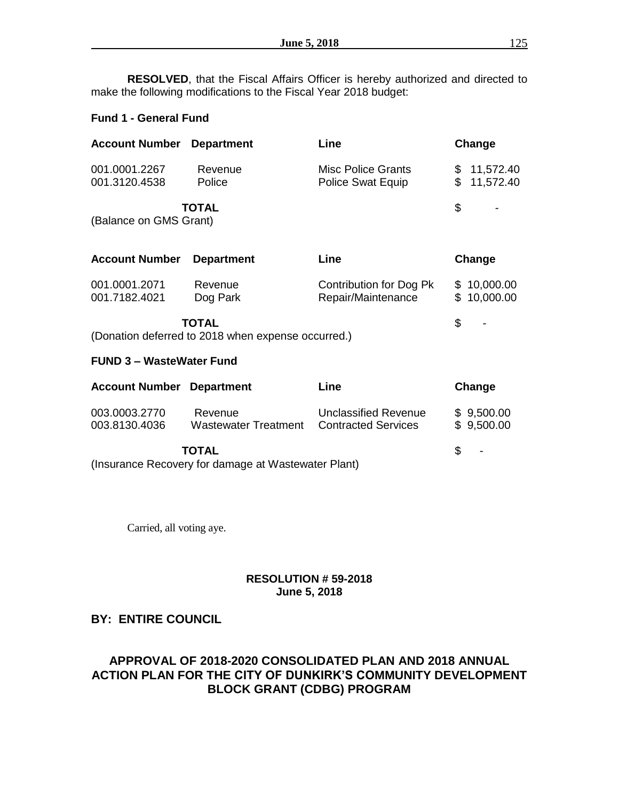**RESOLVED**, that the Fiscal Affairs Officer is hereby authorized and directed to make the following modifications to the Fiscal Year 2018 budget:

## **Fund 1 - General Fund**

| <b>Account Number</b>                                                             | <b>Department</b>                                                  | Line                                                      | Change                         |
|-----------------------------------------------------------------------------------|--------------------------------------------------------------------|-----------------------------------------------------------|--------------------------------|
| 001.0001.2267<br>001.3120.4538                                                    | Revenue<br>Police                                                  | Misc Police Grants<br>Police Swat Equip                   | \$11,572.40<br>\$<br>11,572.40 |
| (Balance on GMS Grant)                                                            | <b>TOTAL</b>                                                       |                                                           | \$                             |
| <b>Account Number</b>                                                             | <b>Department</b>                                                  | Line                                                      | Change                         |
| 001.0001.2071<br>001.7182.4021                                                    | Revenue<br>Dog Park                                                | Contribution for Dog Pk<br>Repair/Maintenance             | \$10,000.00<br>\$10,000.00     |
|                                                                                   | <b>TOTAL</b><br>(Donation deferred to 2018 when expense occurred.) |                                                           | \$                             |
| <b>FUND 3 - WasteWater Fund</b>                                                   |                                                                    |                                                           |                                |
| <b>Account Number Department</b>                                                  |                                                                    | Line                                                      | Change                         |
| 003.0003.2770<br>003.8130.4036                                                    | Revenue<br>Wastewater Treatment                                    | <b>Unclassified Revenue</b><br><b>Contracted Services</b> | \$9,500.00<br>\$9,500.00       |
| <b>TOTAL</b><br>(Incurrence Descussion for democracy of <i>Monteurator</i> Dlant) |                                                                    |                                                           | \$                             |

(Insurance Recovery for damage at Wastewater Plant)

Carried, all voting aye.

## **RESOLUTION # 59-2018 June 5, 2018**

# **BY: ENTIRE COUNCIL**

# **APPROVAL OF 2018-2020 CONSOLIDATED PLAN AND 2018 ANNUAL ACTION PLAN FOR THE CITY OF DUNKIRK'S COMMUNITY DEVELOPMENT BLOCK GRANT (CDBG) PROGRAM**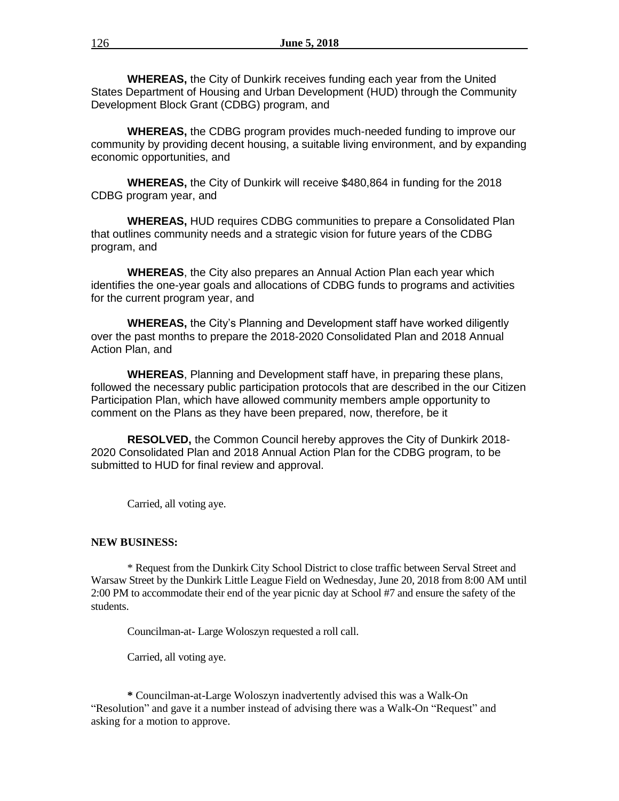**WHEREAS,** the City of Dunkirk receives funding each year from the United States Department of Housing and Urban Development (HUD) through the Community Development Block Grant (CDBG) program, and

**WHEREAS,** the CDBG program provides much-needed funding to improve our community by providing decent housing, a suitable living environment, and by expanding economic opportunities, and

**WHEREAS,** the City of Dunkirk will receive \$480,864 in funding for the 2018 CDBG program year, and

**WHEREAS,** HUD requires CDBG communities to prepare a Consolidated Plan that outlines community needs and a strategic vision for future years of the CDBG program, and

**WHEREAS**, the City also prepares an Annual Action Plan each year which identifies the one-year goals and allocations of CDBG funds to programs and activities for the current program year, and

**WHEREAS,** the City's Planning and Development staff have worked diligently over the past months to prepare the 2018-2020 Consolidated Plan and 2018 Annual Action Plan, and

**WHEREAS**, Planning and Development staff have, in preparing these plans, followed the necessary public participation protocols that are described in the our Citizen Participation Plan, which have allowed community members ample opportunity to comment on the Plans as they have been prepared, now, therefore, be it

**RESOLVED,** the Common Council hereby approves the City of Dunkirk 2018- 2020 Consolidated Plan and 2018 Annual Action Plan for the CDBG program, to be submitted to HUD for final review and approval.

Carried, all voting aye.

## **NEW BUSINESS:**

\* Request from the Dunkirk City School District to close traffic between Serval Street and Warsaw Street by the Dunkirk Little League Field on Wednesday, June 20, 2018 from 8:00 AM until 2:00 PM to accommodate their end of the year picnic day at School #7 and ensure the safety of the students.

Councilman-at- Large Woloszyn requested a roll call.

Carried, all voting aye.

**\*** Councilman-at-Large Woloszyn inadvertently advised this was a Walk-On "Resolution" and gave it a number instead of advising there was a Walk-On "Request" and asking for a motion to approve.